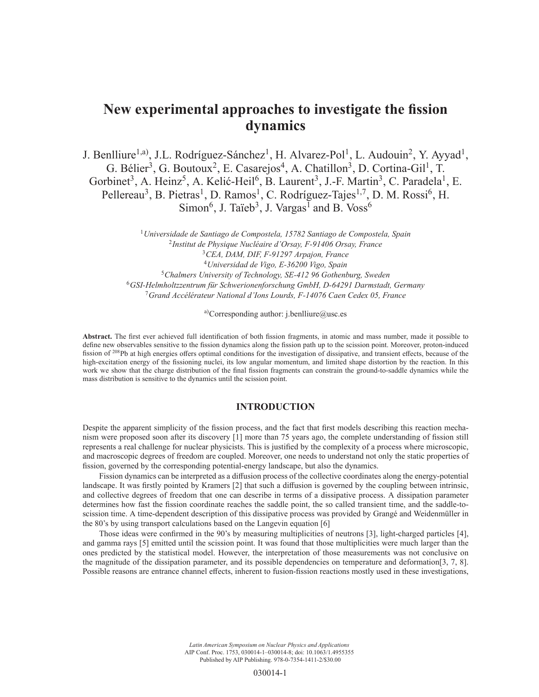# **New experimental approaches to investigate the fission dynamics**

J. Benlliure<sup>1,a)</sup>, J.L. Rodríguez-Sánchez<sup>1</sup>, H. Alvarez-Pol<sup>1</sup>, L. Audouin<sup>2</sup>, Y. Ayyad<sup>1</sup>, G. Bélier<sup>3</sup>, G. Boutoux<sup>2</sup>, E. Casarejos<sup>4</sup>, A. Chatillon<sup>3</sup>, D. Cortina-Gil<sup>1</sup>, T. Gorbinet<sup>3</sup>, A. Heinz<sup>5</sup>, A. Kelić-Heil<sup>6</sup>, B. Laurent<sup>3</sup>, J.-F. Martin<sup>3</sup>, C. Paradela<sup>1</sup>, E. Pellereau<sup>3</sup>, B. Pietras<sup>1</sup>, D. Ramos<sup>1</sup>, C. Rodríguez-Tajes<sup>1,7</sup>, D. M. Rossi<sup>6</sup>, H. Simon<sup>6</sup>, J. Taïeb<sup>3</sup>, J. Vargas<sup>1</sup> and B. Voss<sup>6</sup>

> *Universidade de Santiago de Compostela, 15782 Santiago de Compostela, Spain Institut de Physique Nucl´eaire d'Orsay, F-91406 Orsay, France CEA, DAM, DIF, F-91297 Arpajon, France Universidad de Vigo, E-36200 Vigo, Spain Chalmers University of Technology, SE-412 96 Gothenburg, Sweden* <sup>6</sup>GSI-Helmholtzzentrum für Schwerionenforschung GmbH, D-64291 Darmstadt, Germany <sup>7</sup> Grand Accélérateur National d'Ions Lourds, F-14076 Caen Cedex 05, France

> > a)Corresponding author: j.benlliure@usc.es

**Abstract.** The first ever achieved full identification of both fission fragments, in atomic and mass number, made it possible to define new observables sensitive to the fission dynamics along the fission path up to the scission point. Moreover, proton-induced fission of <sup>208</sup>Pb at high energies offers optimal conditions for the investigation of dissipative, and transient effects, because of the high-excitation energy of the fissioning nuclei, its low angular momentum, and limited shape distortion by the reaction. In this work we show that the charge distribution of the final fission fragments can constrain the ground-to-saddle dynamics while the mass distribution is sensitive to the dynamics until the scission point.

# **INTRODUCTION**

Despite the apparent simplicity of the fission process, and the fact that first models describing this reaction mechanism were proposed soon after its discovery [1] more than 75 years ago, the complete understanding of fission still represents a real challenge for nuclear physicists. This is justified by the complexity of a process where microscopic, and macroscopic degrees of freedom are coupled. Moreover, one needs to understand not only the static properties of fission, governed by the corresponding potential-energy landscape, but also the dynamics.

Fission dynamics can be interpreted as a diffusion process of the collective coordinates along the energy-potential landscape. It was firstly pointed by Kramers [2] that such a diffusion is governed by the coupling between intrinsic, and collective degrees of freedom that one can describe in terms of a dissipative process. A dissipation parameter determines how fast the fission coordinate reaches the saddle point, the so called transient time, and the saddle-toscission time. A time-dependent description of this dissipative process was provided by Grangé and Weidenmüller in the 80's by using transport calculations based on the Langevin equation [6]

Those ideas were confirmed in the 90's by measuring multiplicities of neutrons [3], light-charged particles [4], and gamma rays [5] emitted until the scission point. It was found that those multiplicities were much larger than the ones predicted by the statistical model. However, the interpretation of those measurements was not conclusive on the magnitude of the dissipation parameter, and its possible dependencies on temperature and deformation[3, 7, 8]. Possible reasons are entrance channel effects, inherent to fusion-fission reactions mostly used in these investigations,

> *Latin American Symposium on Nuclear Physics and Applications* AIP Conf. Proc. 1753, 030014-1–030014-8; doi: 10.1063/1.4955355 Published by AIP Publishing. 978-0-7354-1411-2/\$30.00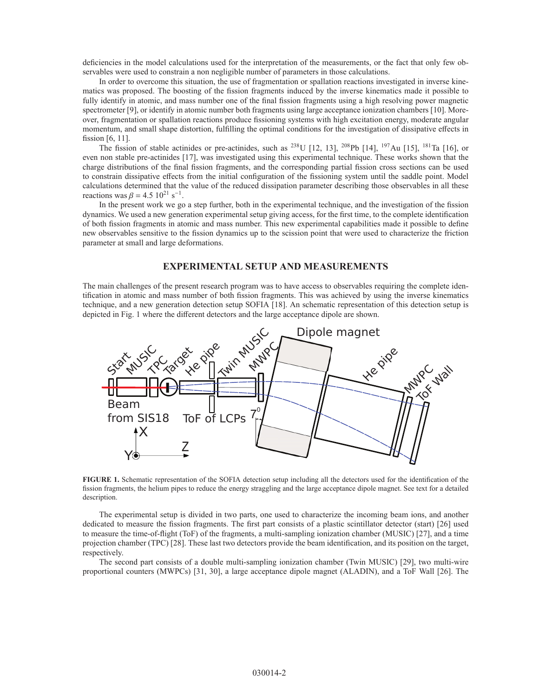deficiencies in the model calculations used for the interpretation of the measurements, or the fact that only few observables were used to constrain a non negligible number of parameters in those calculations.

In order to overcome this situation, the use of fragmentation or spallation reactions investigated in inverse kinematics was proposed. The boosting of the fission fragments induced by the inverse kinematics made it possible to fully identify in atomic, and mass number one of the final fission fragments using a high resolving power magnetic spectrometer [9], or identify in atomic number both fragments using large acceptance ionization chambers [10]. Moreover, fragmentation or spallation reactions produce fissioning systems with high excitation energy, moderate angular momentum, and small shape distortion, fulfilling the optimal conditions for the investigation of dissipative effects in fission [6, 11].

The fission of stable actinides or pre-actinides, such as  $^{238}$ U [12, 13],  $^{208}$ Pb [14],  $^{197}$ Au [15],  $^{181}$ Ta [16], or even non stable pre-actinides [17], was investigated using this experimental technique. These works shown that the charge distributions of the final fission fragments, and the corresponding partial fission cross sections can be used to constrain dissipative effects from the initial configuration of the fissioning system until the saddle point. Model calculations determined that the value of the reduced dissipation parameter describing those observables in all these reactions was  $\beta = 4.5 \, 10^{21} \, s^{-1}$ .

In the present work we go a step further, both in the experimental technique, and the investigation of the fission dynamics. We used a new generation experimental setup giving access, for the first time, to the complete identification of both fission fragments in atomic and mass number. This new experimental capabilities made it possible to define new observables sensitive to the fission dynamics up to the scission point that were used to characterize the friction parameter at small and large deformations.

## **EXPERIMENTAL SETUP AND MEASUREMENTS**

The main challenges of the present research program was to have access to observables requiring the complete identification in atomic and mass number of both fission fragments. This was achieved by using the inverse kinematics technique, and a new generation detection setup SOFIA [18]. An schematic representation of this detection setup is depicted in Fig. 1 where the different detectors and the large acceptance dipole are shown.



**FIGURE 1.** Schematic representation of the SOFIA detection setup including all the detectors used for the identification of the fission fragments, the helium pipes to reduce the energy straggling and the large acceptance dipole magnet. See text for a detailed description.

The experimental setup is divided in two parts, one used to characterize the incoming beam ions, and another dedicated to measure the fission fragments. The first part consists of a plastic scintillator detector (start) [26] used to measure the time-of-flight (ToF) of the fragments, a multi-sampling ionization chamber (MUSIC) [27], and a time projection chamber (TPC) [28]. These last two detectors provide the beam identification, and its position on the target, respectively.

The second part consists of a double multi-sampling ionization chamber (Twin MUSIC) [29], two multi-wire proportional counters (MWPCs) [31, 30], a large acceptance dipole magnet (ALADIN), and a ToF Wall [26]. The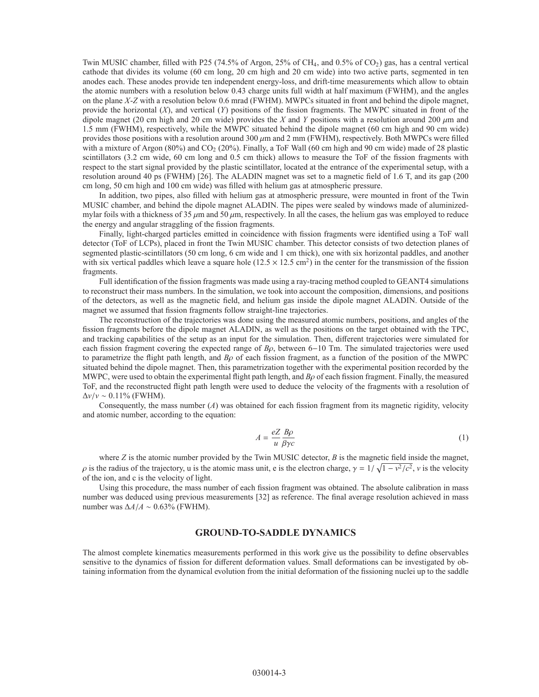Twin MUSIC chamber, filled with P25 (74.5% of Argon, 25% of CH<sub>4</sub>, and 0.5% of CO<sub>2</sub>) gas, has a central vertical cathode that divides its volume (60 cm long, 20 cm high and 20 cm wide) into two active parts, segmented in ten anodes each. These anodes provide ten independent energy-loss, and drift-time measurements which allow to obtain the atomic numbers with a resolution below 0.43 charge units full width at half maximum (FWHM), and the angles on the plane *X*-*Z* with a resolution below 0.6 mrad (FWHM). MWPCs situated in front and behind the dipole magnet, provide the horizontal (*X*), and vertical (*Y*) positions of the fission fragments. The MWPC situated in front of the dipole magnet (20 cm high and 20 cm wide) provides the *X* and *Y* positions with a resolution around 200  $\mu$ m and 1.5 mm (FWHM), respectively, while the MWPC situated behind the dipole magnet (60 cm high and 90 cm wide) provides those positions with a resolution around 300  $\mu$ m and 2 mm (FWHM), respectively. Both MWPCs were filled with a mixture of Argon (80%) and  $CO<sub>2</sub>$  (20%). Finally, a ToF Wall (60 cm high and 90 cm wide) made of 28 plastic scintillators (3.2 cm wide, 60 cm long and 0.5 cm thick) allows to measure the ToF of the fission fragments with respect to the start signal provided by the plastic scintillator, located at the entrance of the experimental setup, with a resolution around 40 ps (FWHM) [26]. The ALADIN magnet was set to a magnetic field of 1.6 T, and its gap (200 cm long, 50 cm high and 100 cm wide) was filled with helium gas at atmospheric pressure.

In addition, two pipes, also filled with helium gas at atmospheric pressure, were mounted in front of the Twin MUSIC chamber, and behind the dipole magnet ALADIN. The pipes were sealed by windows made of aluminizedmylar foils with a thickness of 35  $\mu$ m and 50  $\mu$ m, respectively. In all the cases, the helium gas was employed to reduce the energy and angular straggling of the fission fragments.

Finally, light-charged particles emitted in coincidence with fission fragments were identified using a ToF wall detector (ToF of LCPs), placed in front the Twin MUSIC chamber. This detector consists of two detection planes of segmented plastic-scintillators (50 cm long, 6 cm wide and 1 cm thick), one with six horizontal paddles, and another with six vertical paddles which leave a square hole  $(12.5 \times 12.5 \text{ cm}^2)$  in the center for the transmission of the fission fragments.

Full identification of the fission fragments was made using a ray-tracing method coupled to GEANT4 simulations to reconstruct their mass numbers. In the simulation, we took into account the composition, dimensions, and positions of the detectors, as well as the magnetic field, and helium gas inside the dipole magnet ALADIN. Outside of the magnet we assumed that fission fragments follow straight-line trajectories.

The reconstruction of the trajectories was done using the measured atomic numbers, positions, and angles of the fission fragments before the dipole magnet ALADIN, as well as the positions on the target obtained with the TPC, and tracking capabilities of the setup as an input for the simulation. Then, different trajectories were simulated for each fission fragment covering the expected range of *B*ρ, between 6−10 Tm. The simulated trajectories were used to parametrize the flight path length, and *B*ρ of each fission fragment, as a function of the position of the MWPC situated behind the dipole magnet. Then, this parametrization together with the experimental position recorded by the MWPC, were used to obtain the experimental flight path length, and *B*ρ of each fission fragment. Finally, the measured ToF, and the reconstructed flight path length were used to deduce the velocity of the fragments with a resolution of Δ*v*/*v* ∼ 0.11% (FWHM).

Consequently, the mass number (*A*) was obtained for each fission fragment from its magnetic rigidity, velocity and atomic number, according to the equation:

$$
A = \frac{eZ}{u} \frac{B\rho}{\beta \gamma c} \tag{1}
$$

where  $Z$  is the atomic number provided by the Twin MUSIC detector,  $B$  is the magnetic field inside the magnet,  $\rho$  is the radius of the trajectory, u is the atomic mass unit, e is the electron charge,  $\gamma = 1/\sqrt{1 - v^2/c^2}$ , *v* is the velocity of the ion, and c is the velocity of light.

Using this procedure, the mass number of each fission fragment was obtained. The absolute calibration in mass number was deduced using previous measurements [32] as reference. The final average resolution achieved in mass number was  $\Delta A/A \sim 0.63\%$  (FWHM).

## **GROUND-TO-SADDLE DYNAMICS**

The almost complete kinematics measurements performed in this work give us the possibility to define observables sensitive to the dynamics of fission for different deformation values. Small deformations can be investigated by obtaining information from the dynamical evolution from the initial deformation of the fissioning nuclei up to the saddle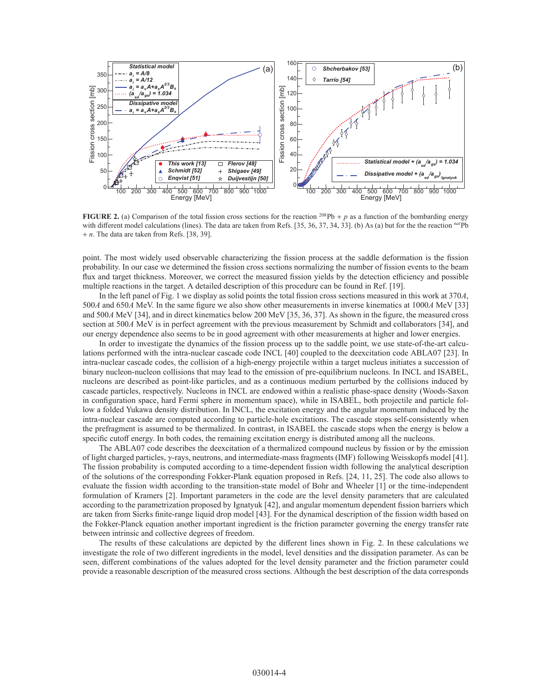

**FIGURE 2.** (a) Comparison of the total fission cross sections for the reaction <sup>208</sup>Pb + *p* as a function of the bombarding energy with different model calculations (lines). The data are taken from Refs. [35, 36, 37, 34, 33]. (b) As (a) but for the the reaction *nat*Pb + *n*. The data are taken from Refs. [38, 39].

point. The most widely used observable characterizing the fission process at the saddle deformation is the fission probability. In our case we determined the fission cross sections normalizing the number of fission events to the beam flux and target thickness. Moreover, we correct the measured fission yields by the detection efficiency and possible multiple reactions in the target. A detailed description of this procedure can be found in Ref. [19].

In the left panel of Fig. 1 we display as solid points the total fission cross sections measured in this work at 370*A*, 500*A* and 650*A* MeV. In the same figure we also show other measurements in inverse kinematics at 1000*A* MeV [33] and 500*A* MeV [34], and in direct kinematics below 200 MeV [35, 36, 37]. As shown in the figure, the measured cross section at 500*A* MeV is in perfect agreement with the previous measurement by Schmidt and collaborators [34], and our energy dependence also seems to be in good agreement with other measurements at higher and lower energies.

In order to investigate the dynamics of the fission process up to the saddle point, we use state-of-the-art calculations performed with the intra-nuclear cascade code INCL [40] coupled to the deexcitation code ABLA07 [23]. In intra-nuclear cascade codes, the collision of a high-energy projectile within a target nucleus initiates a succession of binary nucleon-nucleon collisions that may lead to the emission of pre-equilibrium nucleons. In INCL and ISABEL, nucleons are described as point-like particles, and as a continuous medium perturbed by the collisions induced by cascade particles, respectively. Nucleons in INCL are endowed within a realistic phase-space density (Woods-Saxon in configuration space, hard Fermi sphere in momentum space), while in ISABEL, both projectile and particle follow a folded Yukawa density distribution. In INCL, the excitation energy and the angular momentum induced by the intra-nuclear cascade are computed according to particle-hole excitations. The cascade stops self-consistently when the prefragment is assumed to be thermalized. In contrast, in ISABEL the cascade stops when the energy is below a specific cutoff energy. In both codes, the remaining excitation energy is distributed among all the nucleons.

The ABLA07 code describes the deexcitation of a thermalized compound nucleus by fission or by the emission of light charged particles, γ-rays, neutrons, and intermediate-mass fragments (IMF) following Weisskopfs model [41]. The fission probability is computed according to a time-dependent fission width following the analytical description of the solutions of the corresponding Fokker-Plank equation proposed in Refs. [24, 11, 25]. The code also allows to evaluate the fission width according to the transition-state model of Bohr and Wheeler [1] or the time-independent formulation of Kramers [2]. Important parameters in the code are the level density parameters that are calculated according to the parametrization proposed by Ignatyuk [42], and angular momentum dependent fission barriers which are taken from Sierks finite-range liquid drop model [43]. For the dynamical description of the fission width based on the Fokker-Planck equation another important ingredient is the friction parameter governing the energy transfer rate between intrinsic and collective degrees of freedom.

The results of these calculations are depicted by the different lines shown in Fig. 2. In these calculations we investigate the role of two different ingredients in the model, level densities and the dissipation parameter. As can be seen, different combinations of the values adopted for the level density parameter and the friction parameter could provide a reasonable description of the measured cross sections. Although the best description of the data corresponds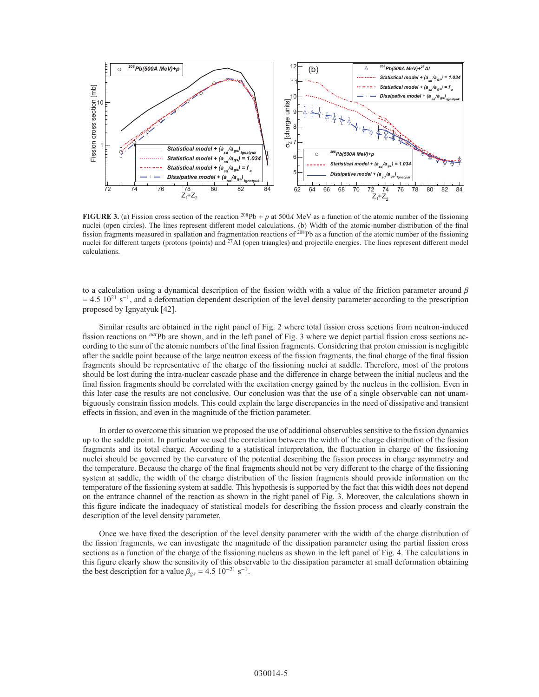

**FIGURE 3.** (a) Fission cross section of the reaction <sup>208</sup>Pb + *p* at 500*A* MeV as a function of the atomic number of the fissioning nuclei (open circles). The lines represent different model calculations. (b) Width of the atomic-number distribution of the final fission fragments measured in spallation and fragmentation reactions of <sup>208</sup>Pb as a function of the atomic number of the fissioning nuclei for different targets (protons (points) and <sup>27</sup>Al (open triangles) and projectile energies. The lines represent different model calculations.

to a calculation using a dynamical description of the fission width with a value of the friction parameter around  $\beta$  $= 4.5 \times 10^{21} \text{ s}^{-1}$ , and a deformation dependent description of the level density parameter according to the prescription proposed by Ignyatyuk [42].

Similar results are obtained in the right panel of Fig. 2 where total fission cross sections from neutron-induced fission reactions on *nat*Pb are shown, and in the left panel of Fig. 3 where we depict partial fission cross sections according to the sum of the atomic numbers of the final fission fragments. Considering that proton emission is negligible after the saddle point because of the large neutron excess of the fission fragments, the final charge of the final fission fragments should be representative of the charge of the fissioning nuclei at saddle. Therefore, most of the protons should be lost during the intra-nuclear cascade phase and the difference in charge between the initial nucleus and the final fission fragments should be correlated with the excitation energy gained by the nucleus in the collision. Even in this later case the results are not conclusive. Our conclusion was that the use of a single observable can not unambiguously constrain fission models. This could explain the large discrepancies in the need of dissipative and transient effects in fission, and even in the magnitude of the friction parameter.

In order to overcome this situation we proposed the use of additional observables sensitive to the fission dynamics up to the saddle point. In particular we used the correlation between the width of the charge distribution of the fission fragments and its total charge. According to a statistical interpretation, the fluctuation in charge of the fissioning nuclei should be governed by the curvature of the potential describing the fission process in charge asymmetry and the temperature. Because the charge of the final fragments should not be very different to the charge of the fissioning system at saddle, the width of the charge distribution of the fission fragments should provide information on the temperature of the fissioning system at saddle. This hypothesis is supported by the fact that this width does not depend on the entrance channel of the reaction as shown in the right panel of Fig. 3. Moreover, the calculations shown in this figure indicate the inadequacy of statistical models for describing the fission process and clearly constrain the description of the level density parameter.

Once we have fixed the description of the level density parameter with the width of the charge distribution of the fission fragments, we can investigate the magnitude of the dissipation parameter using the partial fission cross sections as a function of the charge of the fissioning nucleus as shown in the left panel of Fig. 4. The calculations in this figure clearly show the sensitivity of this observable to the dissipation parameter at small deformation obtaining the best description for a value  $\beta_{gs} = 4.5 \, 10^{-21} \, \text{s}^{-1}$ .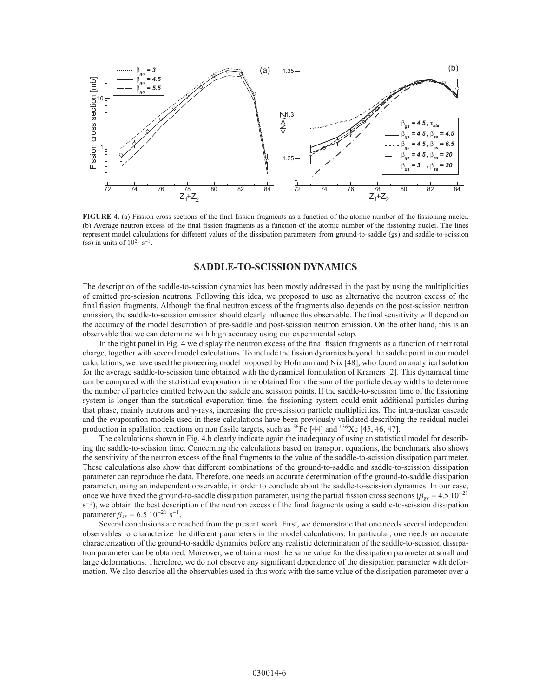

**FIGURE 4.** (a) Fission cross sections of the final fission fragments as a function of the atomic number of the fissioning nuclei. (b) Average neutron excess of the final fission fragments as a function of the atomic number of the fissioning nuclei. The lines represent model calculations for different values of the dissipation parameters from ground-to-saddle (gs) and saddle-to-scission (ss) in units of  $10^{21}$  s<sup>-1</sup>.

#### **SADDLE-TO-SCISSION DYNAMICS**

The description of the saddle-to-scission dynamics has been mostly addressed in the past by using the multiplicities of emitted pre-scission neutrons. Following this idea, we proposed to use as alternative the neutron excess of the final fission fragments. Although the final neutron excess of the fragments also depends on the post-scission neutron emission, the saddle-to-scission emission should clearly influence this observable. The final sensitivity will depend on the accuracy of the model description of pre-saddle and post-scission neutron emission. On the other hand, this is an observable that we can determine with high accuracy using our experimental setup.

In the right panel in Fig. 4 we display the neutron excess of the final fission fragments as a function of their total charge, together with several model calculations. To include the fission dynamics beyond the saddle point in our model calculations, we have used the pioneering model proposed by Hofmann and Nix [48], who found an analytical solution for the average saddle-to-scission time obtained with the dynamical formulation of Kramers [2]. This dynamical time can be compared with the statistical evaporation time obtained from the sum of the particle decay widths to determine the number of particles emitted between the saddle and scission points. If the saddle-to-scission time of the fissioning system is longer than the statistical evaporation time, the fissioning system could emit additional particles during that phase, mainly neutrons and γ-rays, increasing the pre-scission particle multiplicities. The intra-nuclear cascade and the evaporation models used in these calculations have been previously validated describing the residual nuclei production in spallation reactions on non fissile targets, such as <sup>56</sup>Fe [44] and <sup>136</sup>Xe [45, 46, 47].

The calculations shown in Fig. 4.b clearly indicate again the inadequacy of using an statistical model for describing the saddle-to-scission time. Concerning the calculations based on transport equations, the benchmark also shows the sensitivity of the neutron excess of the final fragments to the value of the saddle-to-scission dissipation parameter. These calculations also show that different combinations of the ground-to-saddle and saddle-to-scission dissipation parameter can reproduce the data. Therefore, one needs an accurate determination of the ground-to-saddle dissipation parameter, using an independent observable, in order to conclude about the saddle-to-scission dynamics. In our case, once we have fixed the ground-to-saddle dissipation parameter, using the partial fission cross sections ( $\beta_{gs} = 4.5 \times 10^{-21}$ )  $s^{-1}$ ), we obtain the best description of the neutron excess of the final fragments using a saddle-to-scission dissipation parameter  $\beta_{ss} = 6.5 \, 10^{-21} \, s^{-1}$ .

Several conclusions are reached from the present work. First, we demonstrate that one needs several independent observables to characterize the different parameters in the model calculations. In particular, one needs an accurate characterization of the ground-to-saddle dynamics before any realistic determination of the saddle-to-scission dissipation parameter can be obtained. Moreover, we obtain almost the same value for the dissipation parameter at small and large deformations. Therefore, we do not observe any significant dependence of the dissipation parameter with deformation. We also describe all the observables used in this work with the same value of the dissipation parameter over a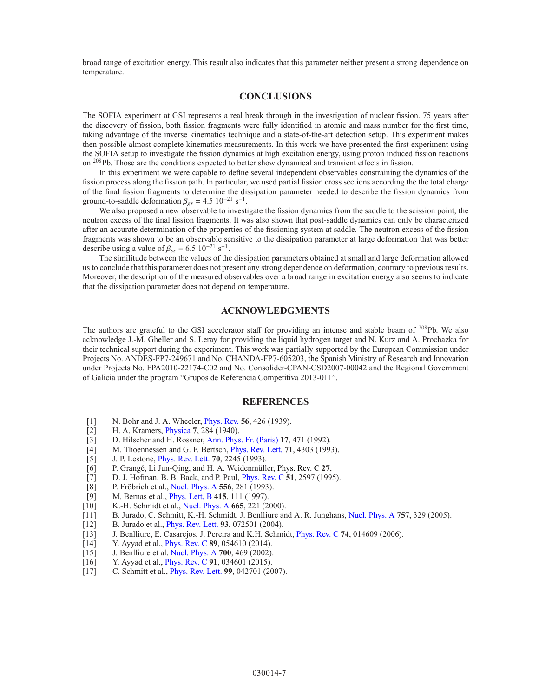broad range of excitation energy. This result also indicates that this parameter neither present a strong dependence on temperature.

# **CONCLUSIONS**

The SOFIA experiment at GSI represents a real break through in the investigation of nuclear fission. 75 years after the discovery of fission, both fission fragments were fully identified in atomic and mass number for the first time, taking advantage of the inverse kinematics technique and a state-of-the-art detection setup. This experiment makes then possible almost complete kinematics measurements. In this work we have presented the first experiment using the SOFIA setup to investigate the fission dynamics at high excitation energy, using proton induced fission reactions on <sup>208</sup>Pb. Those are the conditions expected to better show dynamical and transient effects in fission.

In this experiment we were capable to define several independent observables constraining the dynamics of the fission process along the fission path. In particular, we used partial fission cross sections according the the total charge of the final fission fragments to determine the dissipation parameter needed to describe the fission dynamics from ground-to-saddle deformation  $\beta_{gs} = 4.5 \, 10^{-21} \, \text{s}^{-1}$ .

We also proposed a new observable to investigate the fission dynamics from the saddle to the scission point, the neutron excess of the final fission fragments. It was also shown that post-saddle dynamics can only be characterized after an accurate determination of the properties of the fissioning system at saddle. The neutron excess of the fission fragments was shown to be an observable sensitive to the dissipation parameter at large deformation that was better describe using a value of  $\beta_{ss} = 6.5 \times 10^{-21} \text{ s}^{-1}$ .

The similitude between the values of the dissipation parameters obtained at small and large deformation allowed us to conclude that this parameter does not present any strong dependence on deformation, contrary to previous results. Moreover, the description of the measured observables over a broad range in excitation energy also seems to indicate that the dissipation parameter does not depend on temperature.

## **ACKNOWLEDGMENTS**

The authors are grateful to the GSI accelerator staff for providing an intense and stable beam of  $208Pb$ . We also acknowledge J.-M. Gheller and S. Leray for providing the liquid hydrogen target and N. Kurz and A. Prochazka for their technical support during the experiment. This work was partially supported by the European Commission under Projects No. ANDES-FP7-249671 and No. CHANDA-FP7-605203, the Spanish Ministry of Research and Innovation under Projects No. FPA2010-22174-C02 and No. Consolider-CPAN-CSD2007-00042 and the Regional Government of Galicia under the program "Grupos de Referencia Competitiva 2013-011".

#### **REFERENCES**

- [1] N. Bohr and J. A. Wheeler, [Phys. Rev.](http://dx.doi.org/10.1103/PhysRev.56.426) **56**, 426 (1939).
- [2] H. A. Kramers, [Physica](http://dx.doi.org/10.1016/S0031-8914(40)90098-2) **7**, 284 (1940).
- [3] D. Hilscher and H. Rossner, [Ann. Phys. Fr. \(Paris\)](http://dx.doi.org/10.1051/anphys:01992001706047100) **17**, 471 (1992).
- [4] M. Thoennessen and G. F. Bertsch, [Phys. Rev. Lett.](http://dx.doi.org/10.1103/PhysRevLett.71.4303) **71**, 4303 (1993).
- [5] J. P. Lestone, [Phys. Rev. Lett.](http://dx.doi.org/10.1103/PhysRevLett.70.2245) **70**, 2245 (1993).
- [6] P. Grangé, Li Jun-Qing, and H. A. Weidenmüller, *Phys. Rev. C* 27,
- [7] D. J. Hofman, B. B. Back, and P. Paul, [Phys. Rev. C](http://dx.doi.org/10.1103/PhysRevC.51.2597) **51**, 2597 (1995).
- [8] P. Fröbrich et al., [Nucl. Phys. A](http://dx.doi.org/10.1016/0375-9474(93)90352-X) **556**, 281 (1993).
- [9] M. Bernas et al., [Phys. Lett. B](http://dx.doi.org/10.1016/S0370-2693(97)01216-1) **415**, 111 (1997).
- [10] K.-H. Schmidt et al., [Nucl. Phys. A](http://dx.doi.org/10.1016/S0375-9474(99)00384-X) **665**, 221 (2000).
- [11] B. Jurado, C. Schmitt, K.-H. Schmidt, J. Benlliure and A. R. Junghans, [Nucl. Phys. A](http://dx.doi.org/10.1016/j.nuclphysa.2005.04.020) **757**, 329 (2005).
- [12] B. Jurado et al., [Phys. Rev. Lett.](http://dx.doi.org/10.1103/PhysRevLett.93.072501) **93**, 072501 (2004).
- [13] J. Benlliure, E. Casarejos, J. Pereira and K.H. Schmidt, [Phys. Rev. C](http://dx.doi.org/10.1103/PhysRevC.74.014609) **74**, 014609 (2006).
- [14] Y. Ayyad et al., [Phys. Rev. C](http://dx.doi.org/10.1103/PhysRevC.89.054610) **89**, 054610 (2014).
- [15] J. Benlliure et al. [Nucl. Phys. A](http://dx.doi.org/10.1016/S0375-9474(01)01331-8) **700**, 469 (2002).
- [16] Y. Ayyad et al., [Phys. Rev. C](http://dx.doi.org/10.1103/PhysRevC.91.034601) **91**, 034601 (2015).
- [17] C. Schmitt et al., [Phys. Rev. Lett.](http://dx.doi.org/10.1103/PhysRevLett.99.042701) **99**, 042701 (2007).